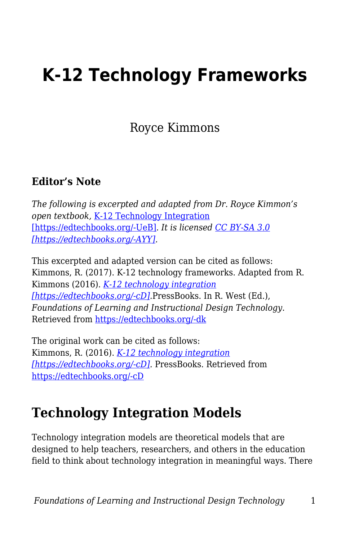## **K-12 Technology Frameworks**

Royce Kimmons

#### **Editor's Note**

*The following is excerpted and adapted from Dr. Royce Kimmon's open textbook,* [K-12 Technology Integration](https://k12techintegration.pressbooks.com/chapter/effective-technology-integration/) [\[https://edtechbooks.org/-UeB\]](https://k12techintegration.pressbooks.com/chapter/effective-technology-integration/)*. It is licensed [CC BY-SA 3.0](https://creativecommons.org/licenses/by-sa/3.0/) [\[https://edtechbooks.org/-AYY\].](https://creativecommons.org/licenses/by-sa/3.0/)*

This excerpted and adapted version can be cited as follows: Kimmons, R. (2017). K-12 technology frameworks. Adapted from R. Kimmons (2016). *[K-12 technology integration](https://k12techintegration.pressbooks.com/) [\[https://edtechbooks.org/-cD\].](https://k12techintegration.pressbooks.com/)*PressBooks. In R. West (Ed.), *Foundations of Learning and Instructional Design Technology*. Retrieved from [https://edtechbooks.org/-dk](https://lidtfoundations.pressbooks.com/chapter/k-12-technology-frameworks/)

The original work can be cited as follows: Kimmons, R. (2016). *[K-12 technology integration](https://k12techintegration.pressbooks.com/) [\[https://edtechbooks.org/-cD\].](https://k12techintegration.pressbooks.com/)* PressBooks. Retrieved from [https://edtechbooks.org/-cD](https://k12techintegration.pressbooks.com/)

#### **Technology Integration Models**

Technology integration models are theoretical models that are designed to help teachers, researchers, and others in the education field to think about technology integration in meaningful ways. There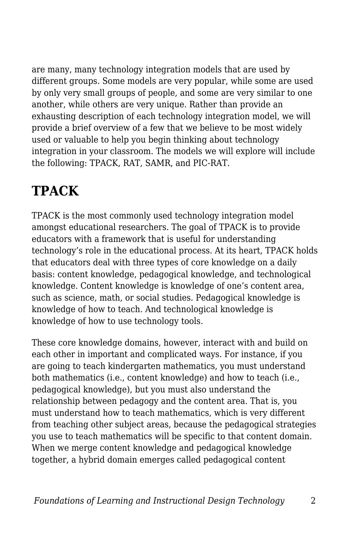are many, many technology integration models that are used by different groups. Some models are very popular, while some are used by only very small groups of people, and some are very similar to one another, while others are very unique. Rather than provide an exhausting description of each technology integration model, we will provide a brief overview of a few that we believe to be most widely used or valuable to help you begin thinking about technology integration in your classroom. The models we will explore will include the following: TPACK, RAT, SAMR, and PIC-RAT.

## **TPACK**

TPACK is the most commonly used technology integration model amongst educational researchers. The goal of TPACK is to provide educators with a framework that is useful for understanding technology's role in the educational process. At its heart, TPACK holds that educators deal with three types of core knowledge on a daily basis: content knowledge, pedagogical knowledge, and technological knowledge. Content knowledge is knowledge of one's content area, such as science, math, or social studies. Pedagogical knowledge is knowledge of how to teach. And technological knowledge is knowledge of how to use technology tools.

These core knowledge domains, however, interact with and build on each other in important and complicated ways. For instance, if you are going to teach kindergarten mathematics, you must understand both mathematics (i.e., content knowledge) and how to teach (i.e., pedagogical knowledge), but you must also understand the relationship between pedagogy and the content area. That is, you must understand how to teach mathematics, which is very different from teaching other subject areas, because the pedagogical strategies you use to teach mathematics will be specific to that content domain. When we merge content knowledge and pedagogical knowledge together, a hybrid domain emerges called pedagogical content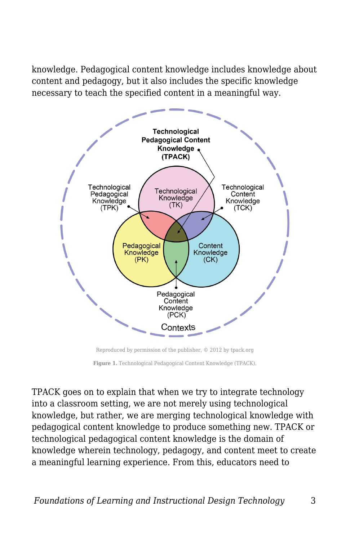knowledge. Pedagogical content knowledge includes knowledge about content and pedagogy, but it also includes the specific knowledge necessary to teach the specified content in a meaningful way.



Reproduced by permission of the publisher, © 2012 by tpack.org

TPACK goes on to explain that when we try to integrate technology into a classroom setting, we are not merely using technological knowledge, but rather, we are merging technological knowledge with pedagogical content knowledge to produce something new. TPACK or technological pedagogical content knowledge is the domain of knowledge wherein technology, pedagogy, and content meet to create a meaningful learning experience. From this, educators need to

**Figure 1.** Technological Pedagogical Content Knowledge (TPACK).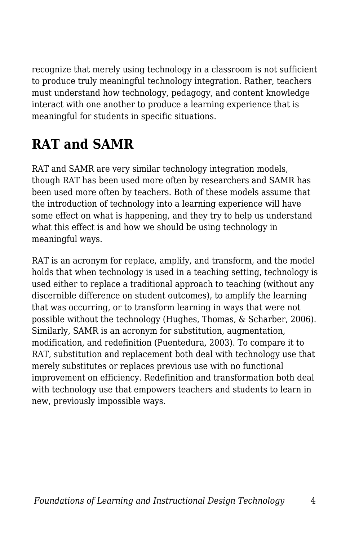recognize that merely using technology in a classroom is not sufficient to produce truly meaningful technology integration. Rather, teachers must understand how technology, pedagogy, and content knowledge interact with one another to produce a learning experience that is meaningful for students in specific situations.

## **RAT and SAMR**

RAT and SAMR are very similar technology integration models, though RAT has been used more often by researchers and SAMR has been used more often by teachers. Both of these models assume that the introduction of technology into a learning experience will have some effect on what is happening, and they try to help us understand what this effect is and how we should be using technology in meaningful ways.

RAT is an acronym for replace, amplify, and transform, and the model holds that when technology is used in a teaching setting, technology is used either to replace a traditional approach to teaching (without any discernible difference on student outcomes), to amplify the learning that was occurring, or to transform learning in ways that were not possible without the technology (Hughes, Thomas, & Scharber, 2006). Similarly, SAMR is an acronym for substitution, augmentation, modification, and redefinition (Puentedura, 2003). To compare it to RAT, substitution and replacement both deal with technology use that merely substitutes or replaces previous use with no functional improvement on efficiency. Redefinition and transformation both deal with technology use that empowers teachers and students to learn in new, previously impossible ways.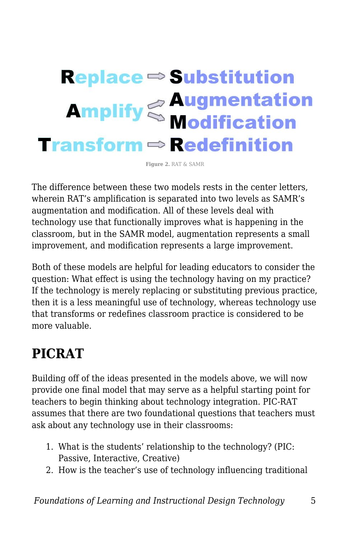# **Replace ⇒ Substitution Amplify Sea Augmentation**<br>Modification **Transform**  $\Rightarrow$  **Redefinition**

**Figure 2.** RAT & SAMR

The difference between these two models rests in the center letters, wherein RAT's amplification is separated into two levels as SAMR's augmentation and modification. All of these levels deal with technology use that functionally improves what is happening in the classroom, but in the SAMR model, augmentation represents a small improvement, and modification represents a large improvement.

Both of these models are helpful for leading educators to consider the question: What effect is using the technology having on my practice? If the technology is merely replacing or substituting previous practice, then it is a less meaningful use of technology, whereas technology use that transforms or redefines classroom practice is considered to be more valuable.

#### **PICRAT**

Building off of the ideas presented in the models above, we will now provide one final model that may serve as a helpful starting point for teachers to begin thinking about technology integration. PIC-RAT assumes that there are two foundational questions that teachers must ask about any technology use in their classrooms:

- 1. What is the students' relationship to the technology? (PIC: Passive, Interactive, Creative)
- 2. How is the teacher's use of technology influencing traditional

*Foundations of Learning and Instructional Design Technology* 5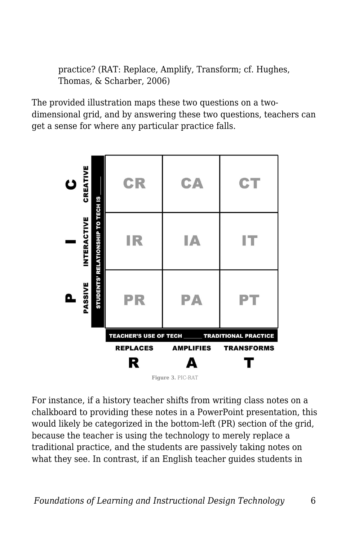practice? (RAT: Replace, Amplify, Transform; cf. Hughes, Thomas, & Scharber, 2006)

The provided illustration maps these two questions on a twodimensional grid, and by answering these two questions, teachers can get a sense for where any particular practice falls.



For instance, if a history teacher shifts from writing class notes on a chalkboard to providing these notes in a PowerPoint presentation, this would likely be categorized in the bottom-left (PR) section of the grid, because the teacher is using the technology to merely replace a traditional practice, and the students are passively taking notes on what they see. In contrast, if an English teacher guides students in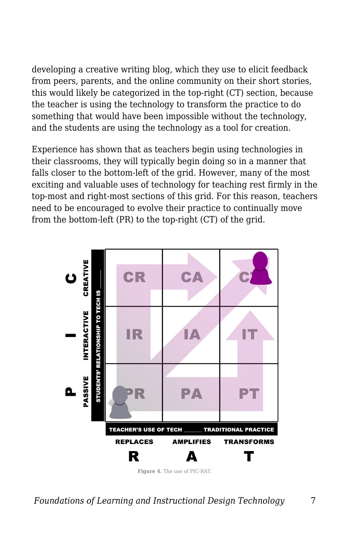developing a creative writing blog, which they use to elicit feedback from peers, parents, and the online community on their short stories, this would likely be categorized in the top-right (CT) section, because the teacher is using the technology to transform the practice to do something that would have been impossible without the technology, and the students are using the technology as a tool for creation.

Experience has shown that as teachers begin using technologies in their classrooms, they will typically begin doing so in a manner that falls closer to the bottom-left of the grid. However, many of the most exciting and valuable uses of technology for teaching rest firmly in the top-most and right-most sections of this grid. For this reason, teachers need to be encouraged to evolve their practice to continually move from the bottom-left (PR) to the top-right (CT) of the grid.

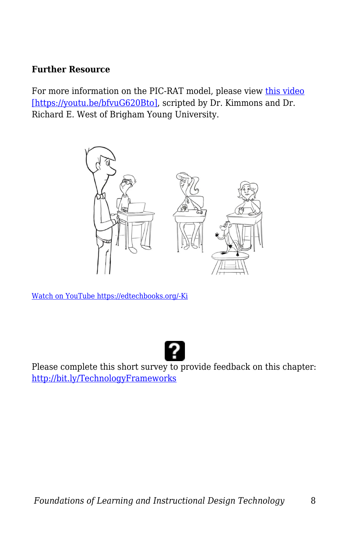#### **Further Resource**

For more information on the PIC-RAT model, please view [this video](https://youtu.be/bfvuG620Bto) [\[https://youtu.be/bfvuG620Bto\]](https://youtu.be/bfvuG620Bto), scripted by Dr. Kimmons and Dr. Richard E. West of Brigham Young University.



[Watch on YouTube https://edtechbooks.org/-Ki](https://www.youtube.com/embed/bfvuG620Bto?autoplay=1&rel=0&showinfo=0&modestbranding=1)



Please complete this short survey to provide feedback on this chapter: <http://bit.ly/TechnologyFrameworks>